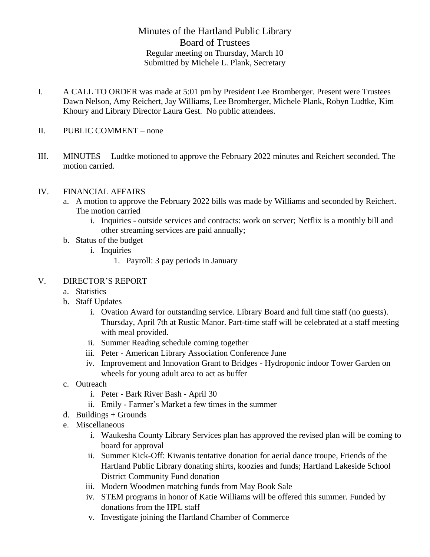## Minutes of the Hartland Public Library Board of Trustees Regular meeting on Thursday, March 10 Submitted by Michele L. Plank, Secretary

- I. A CALL TO ORDER was made at 5:01 pm by President Lee Bromberger. Present were Trustees Dawn Nelson, Amy Reichert, Jay Williams, Lee Bromberger, Michele Plank, Robyn Ludtke, Kim Khoury and Library Director Laura Gest. No public attendees.
- II. PUBLIC COMMENT none
- III. MINUTES Ludtke motioned to approve the February 2022 minutes and Reichert seconded. The motion carried.

## IV. FINANCIAL AFFAIRS

- a. A motion to approve the February 2022 bills was made by Williams and seconded by Reichert. The motion carried
	- i. Inquiries outside services and contracts: work on server; Netflix is a monthly bill and other streaming services are paid annually;
- b. Status of the budget
	- i. Inquiries
		- 1. Payroll: 3 pay periods in January

## V. DIRECTOR'S REPORT

- a. Statistics
- b. Staff Updates
	- i. Ovation Award for outstanding service. Library Board and full time staff (no guests). Thursday, April 7th at Rustic Manor. Part-time staff will be celebrated at a staff meeting with meal provided.
	- ii. Summer Reading schedule coming together
	- iii. Peter American Library Association Conference June
	- iv. Improvement and Innovation Grant to Bridges Hydroponic indoor Tower Garden on wheels for young adult area to act as buffer
- c. Outreach
	- i. Peter Bark River Bash April 30
	- ii. Emily Farmer's Market a few times in the summer
- $d.$  Buildings + Grounds
- e. Miscellaneous
	- i. Waukesha County Library Services plan has approved the revised plan will be coming to board for approval
	- ii. Summer Kick-Off: Kiwanis tentative donation for aerial dance troupe, Friends of the Hartland Public Library donating shirts, koozies and funds; Hartland Lakeside School District Community Fund donation
	- iii. Modern Woodmen matching funds from May Book Sale
	- iv. STEM programs in honor of Katie Williams will be offered this summer. Funded by donations from the HPL staff
	- v. Investigate joining the Hartland Chamber of Commerce